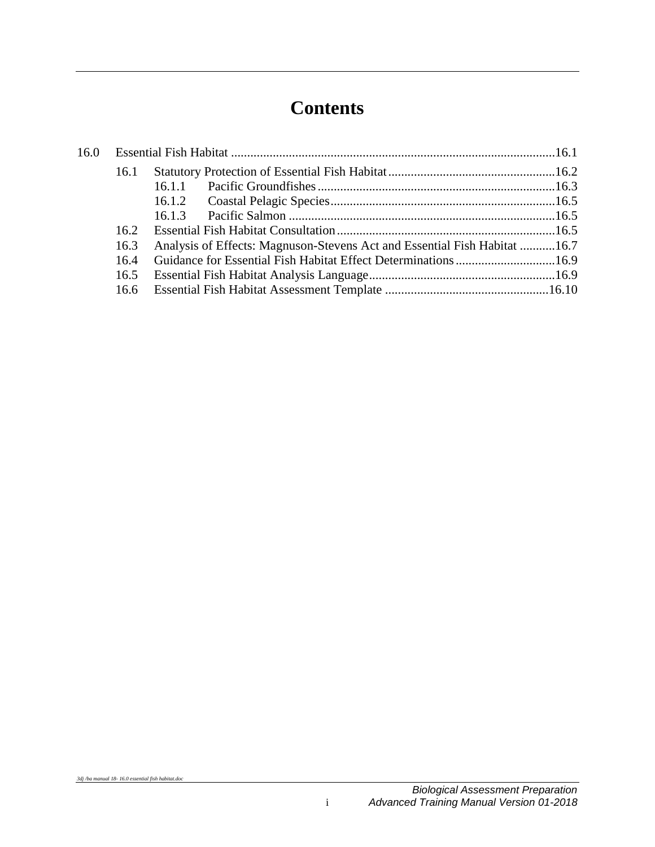# **Contents**

| 16.0 |      |                                                                           |  |
|------|------|---------------------------------------------------------------------------|--|
|      | 16.1 |                                                                           |  |
|      |      | 16.1.1                                                                    |  |
|      |      |                                                                           |  |
|      |      | 16.1.3                                                                    |  |
|      | 16.2 |                                                                           |  |
|      | 16.3 | Analysis of Effects: Magnuson-Stevens Act and Essential Fish Habitat 16.7 |  |
|      | 16.4 |                                                                           |  |
|      | 16.5 |                                                                           |  |
|      |      |                                                                           |  |
|      |      |                                                                           |  |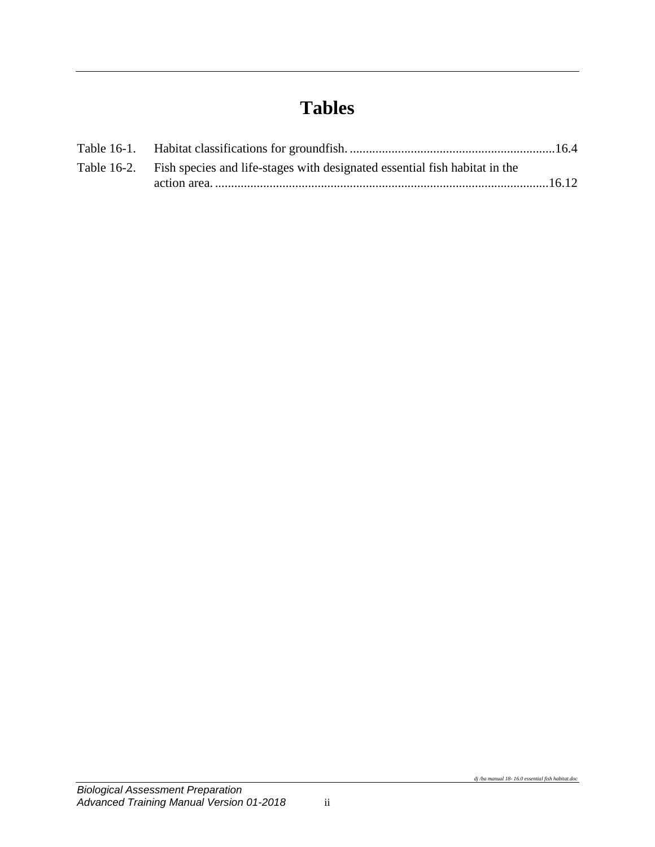# **Tables**

| Table 16-2. Fish species and life-stages with designated essential fish habitat in the |  |
|----------------------------------------------------------------------------------------|--|
|                                                                                        |  |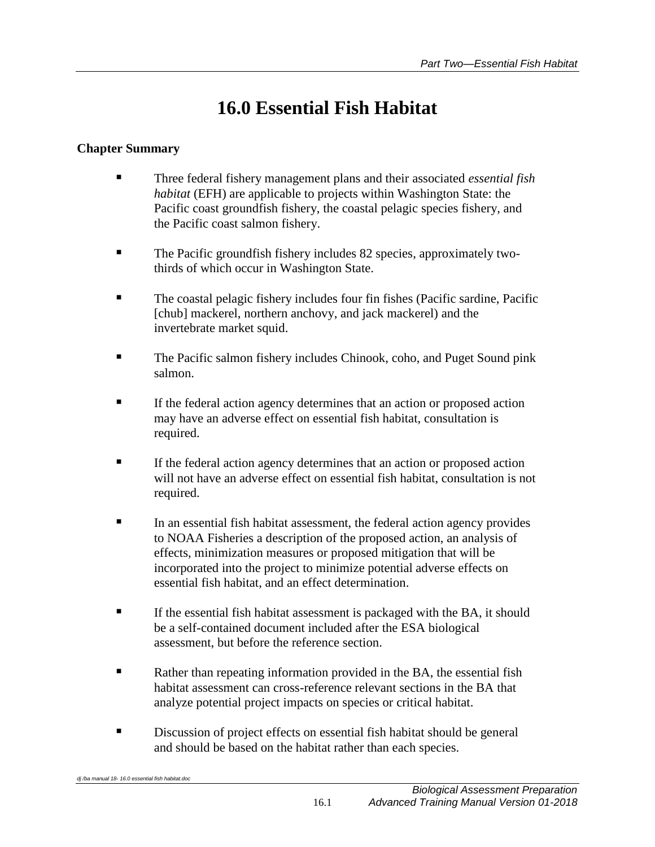# **16.0 Essential Fish Habitat**

## <span id="page-4-0"></span>**Chapter Summary**

- Three federal fishery management plans and their associated *essential fish habitat* (EFH) are applicable to projects within Washington State: the Pacific coast groundfish fishery, the coastal pelagic species fishery, and the Pacific coast salmon fishery.
- The Pacific groundfish fishery includes 82 species, approximately twothirds of which occur in Washington State.
- The coastal pelagic fishery includes four fin fishes (Pacific sardine, Pacific [chub] mackerel, northern anchovy, and jack mackerel) and the invertebrate market squid.
- **The Pacific salmon fishery includes Chinook, coho, and Puget Sound pink** salmon.
- If the federal action agency determines that an action or proposed action may have an adverse effect on essential fish habitat, consultation is required.
- If the federal action agency determines that an action or proposed action will not have an adverse effect on essential fish habitat, consultation is not required.
- In an essential fish habitat assessment, the federal action agency provides to NOAA Fisheries a description of the proposed action, an analysis of effects, minimization measures or proposed mitigation that will be incorporated into the project to minimize potential adverse effects on essential fish habitat, and an effect determination.
- If the essential fish habitat assessment is packaged with the BA, it should be a self-contained document included after the ESA biological assessment, but before the reference section.
- Rather than repeating information provided in the BA, the essential fish habitat assessment can cross-reference relevant sections in the BA that analyze potential project impacts on species or critical habitat.
- Discussion of project effects on essential fish habitat should be general and should be based on the habitat rather than each species.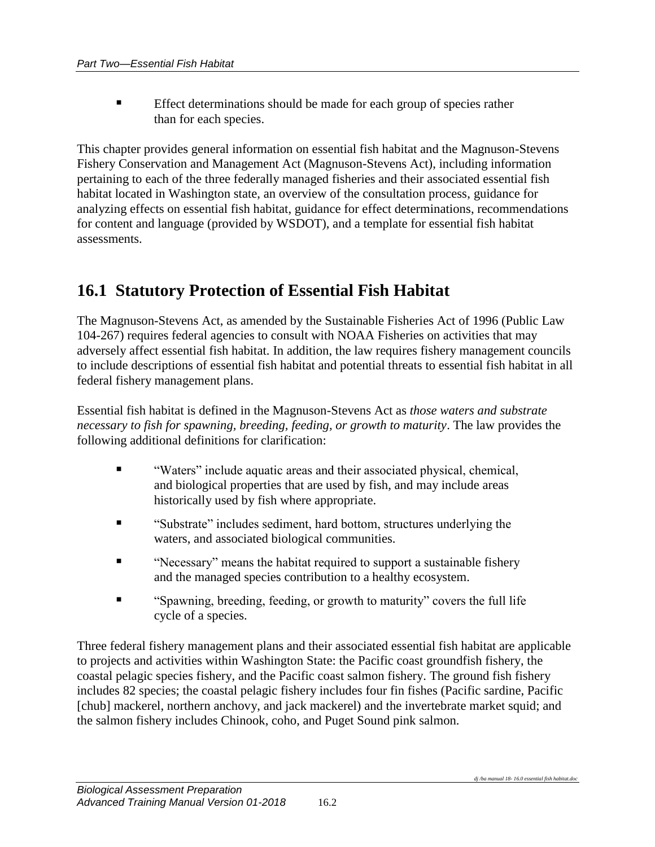Effect determinations should be made for each group of species rather than for each species.

This chapter provides general information on essential fish habitat and the Magnuson-Stevens Fishery Conservation and Management Act (Magnuson-Stevens Act), including information pertaining to each of the three federally managed fisheries and their associated essential fish habitat located in Washington state, an overview of the consultation process, guidance for analyzing effects on essential fish habitat, guidance for effect determinations, recommendations for content and language (provided by WSDOT), and a template for essential fish habitat assessments.

# <span id="page-5-0"></span>**16.1 Statutory Protection of Essential Fish Habitat**

The Magnuson-Stevens Act, as amended by the Sustainable Fisheries Act of 1996 (Public Law 104-267) requires federal agencies to consult with NOAA Fisheries on activities that may adversely affect essential fish habitat. In addition, the law requires fishery management councils to include descriptions of essential fish habitat and potential threats to essential fish habitat in all federal fishery management plans.

Essential fish habitat is defined in the Magnuson-Stevens Act as *those waters and substrate necessary to fish for spawning, breeding, feeding, or growth to maturity*. The law provides the following additional definitions for clarification:

- "Waters" include aquatic areas and their associated physical, chemical, and biological properties that are used by fish, and may include areas historically used by fish where appropriate.
- "Substrate" includes sediment, hard bottom, structures underlying the waters, and associated biological communities.
- "Necessary" means the habitat required to support a sustainable fishery and the managed species contribution to a healthy ecosystem.
- "Spawning, breeding, feeding, or growth to maturity" covers the full life cycle of a species.

Three federal fishery management plans and their associated essential fish habitat are applicable to projects and activities within Washington State: the Pacific coast groundfish fishery, the coastal pelagic species fishery, and the Pacific coast salmon fishery. The ground fish fishery includes 82 species; the coastal pelagic fishery includes four fin fishes (Pacific sardine, Pacific [chub] mackerel, northern anchovy, and jack mackerel) and the invertebrate market squid; and the salmon fishery includes Chinook, coho, and Puget Sound pink salmon.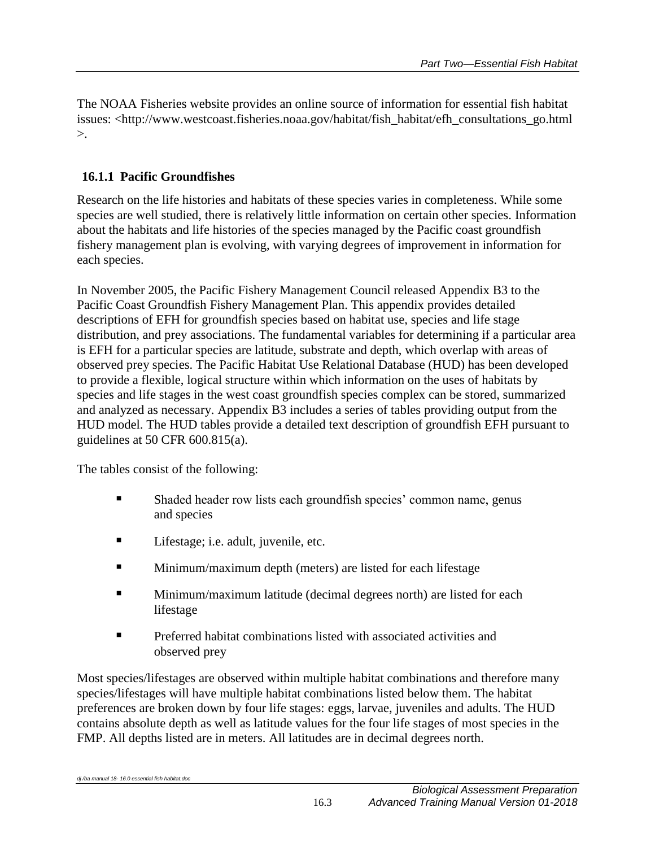The NOAA Fisheries website provides an online source of information for essential fish habitat issues: <http://www.westcoast.fisheries.noaa.gov/habitat/fish\_habitat/efh\_consultations\_go.html >.

### <span id="page-6-0"></span>**16.1.1 Pacific Groundfishes**

Research on the life histories and habitats of these species varies in completeness. While some species are well studied, there is relatively little information on certain other species. Information about the habitats and life histories of the species managed by the Pacific coast groundfish fishery management plan is evolving, with varying degrees of improvement in information for each species.

In November 2005, the Pacific Fishery Management Council released Appendix B3 to the Pacific Coast Groundfish Fishery Management Plan. This appendix provides detailed descriptions of EFH for groundfish species based on habitat use, species and life stage distribution, and prey associations. The fundamental variables for determining if a particular area is EFH for a particular species are latitude, substrate and depth, which overlap with areas of observed prey species. The Pacific Habitat Use Relational Database (HUD) has been developed to provide a flexible, logical structure within which information on the uses of habitats by species and life stages in the west coast groundfish species complex can be stored, summarized and analyzed as necessary. Appendix B3 includes a series of tables providing output from the HUD model. The HUD tables provide a detailed text description of groundfish EFH pursuant to guidelines at 50 CFR 600.815(a).

The tables consist of the following:

- Shaded header row lists each groundfish species' common name, genus and species
- Lifestage; i.e. adult, juvenile, etc.
- **Minimum/maximum depth (meters) are listed for each lifestage**
- **Minimum/maximum latitude (decimal degrees north) are listed for each** lifestage
- **Preferred habitat combinations listed with associated activities and** observed prey

Most species/lifestages are observed within multiple habitat combinations and therefore many species/lifestages will have multiple habitat combinations listed below them. The habitat preferences are broken down by four life stages: eggs, larvae, juveniles and adults. The HUD contains absolute depth as well as latitude values for the four life stages of most species in the FMP. All depths listed are in meters. All latitudes are in decimal degrees north.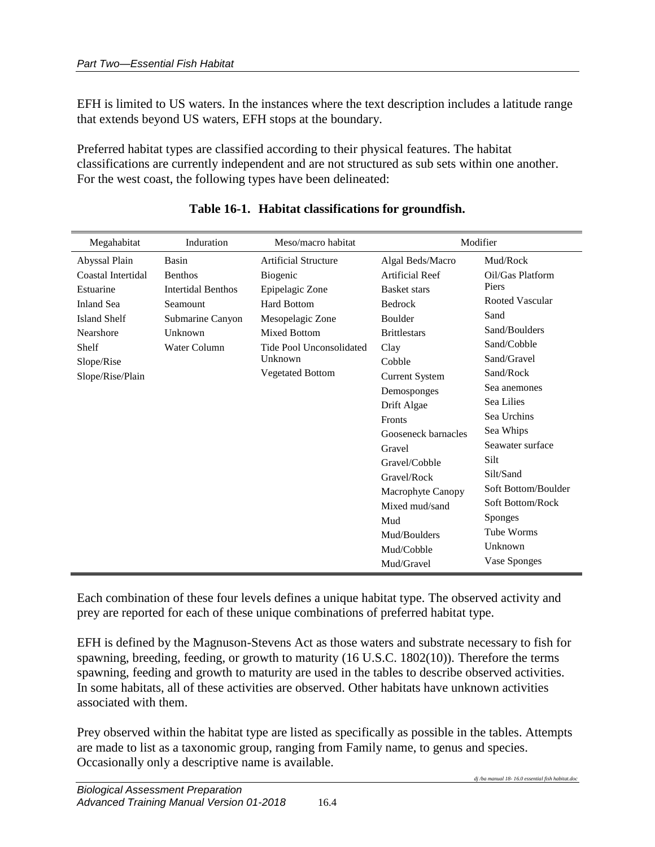EFH is limited to US waters. In the instances where the text description includes a latitude range that extends beyond US waters, EFH stops at the boundary.

Preferred habitat types are classified according to their physical features. The habitat classifications are currently independent and are not structured as sub sets within one another. For the west coast, the following types have been delineated:

<span id="page-7-0"></span>

| Megahabitat         | Induration                | Meso/macro habitat          |                        | Modifier               |
|---------------------|---------------------------|-----------------------------|------------------------|------------------------|
| Abyssal Plain       | Basin                     | <b>Artificial Structure</b> | Algal Beds/Macro       | Mud/Rock               |
| Coastal Intertidal  | <b>Benthos</b>            | Biogenic                    | <b>Artificial Reef</b> | Oil/Gas Platform       |
| Estuarine           | <b>Intertidal Benthos</b> | Epipelagic Zone             | <b>Basket stars</b>    | Piers                  |
| <b>Inland Sea</b>   | Seamount                  | <b>Hard Bottom</b>          | Bedrock                | <b>Rooted Vascular</b> |
| <b>Island Shelf</b> | Submarine Canyon          | Mesopelagic Zone            | Boulder                | Sand                   |
| Nearshore           | Unknown                   | <b>Mixed Bottom</b>         | <b>Brittlestars</b>    | Sand/Boulders          |
| Shelf               | Water Column              | Tide Pool Unconsolidated    | Clay                   | Sand/Cobble            |
| Slope/Rise          |                           | Unknown                     | Cobble                 | Sand/Gravel            |
| Slope/Rise/Plain    |                           | <b>Vegetated Bottom</b>     | <b>Current System</b>  | Sand/Rock              |
|                     |                           |                             | Demosponges            | Sea anemones           |
|                     |                           |                             | Drift Algae            | Sea Lilies             |
|                     |                           |                             | <b>Fronts</b>          | Sea Urchins            |
|                     |                           |                             | Gooseneck barnacles    | Sea Whips              |
|                     |                           |                             | Gravel                 | Seawater surface       |
|                     |                           |                             | Gravel/Cobble          | Silt                   |
|                     |                           |                             | Gravel/Rock            | Silt/Sand              |
|                     |                           |                             | Macrophyte Canopy      | Soft Bottom/Boulder    |
|                     |                           |                             | Mixed mud/sand         | Soft Bottom/Rock       |
|                     |                           |                             | Mud                    | <b>Sponges</b>         |
|                     |                           |                             | Mud/Boulders           | Tube Worms             |
|                     |                           |                             | Mud/Cobble             | Unknown                |
|                     |                           |                             | Mud/Gravel             | Vase Sponges           |

### **Table 16-1. Habitat classifications for groundfish.**

Each combination of these four levels defines a unique habitat type. The observed activity and prey are reported for each of these unique combinations of preferred habitat type.

EFH is defined by the Magnuson-Stevens Act as those waters and substrate necessary to fish for spawning, breeding, feeding, or growth to maturity (16 U.S.C. 1802(10)). Therefore the terms spawning, feeding and growth to maturity are used in the tables to describe observed activities. In some habitats, all of these activities are observed. Other habitats have unknown activities associated with them.

Prey observed within the habitat type are listed as specifically as possible in the tables. Attempts are made to list as a taxonomic group, ranging from Family name, to genus and species. Occasionally only a descriptive name is available.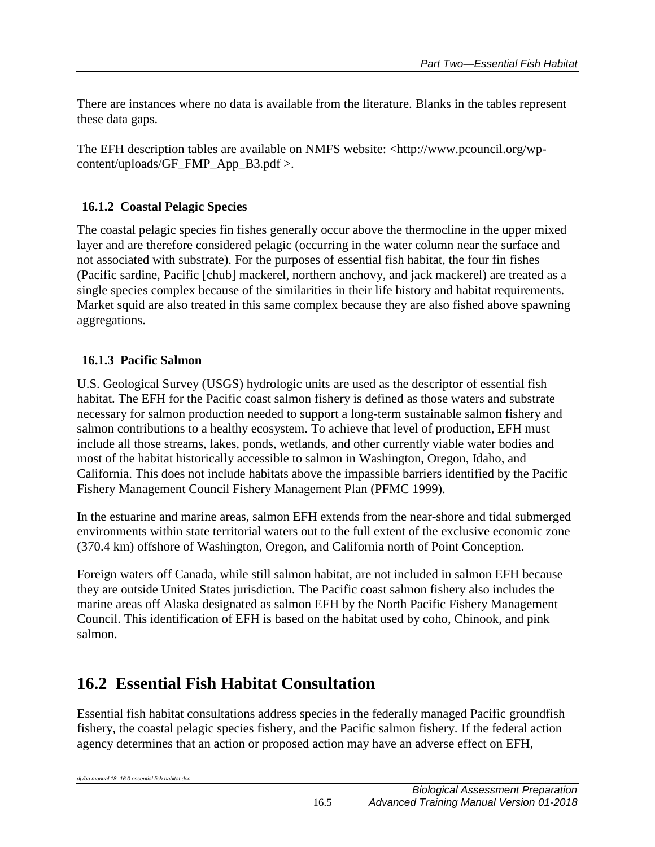There are instances where no data is available from the literature. Blanks in the tables represent these data gaps.

The EFH description tables are available on NMFS website: <http://www.pcouncil.org/wpcontent/uploads/GF\_FMP\_App\_B3.pdf >.

## <span id="page-8-0"></span>**16.1.2 Coastal Pelagic Species**

The coastal pelagic species fin fishes generally occur above the thermocline in the upper mixed layer and are therefore considered pelagic (occurring in the water column near the surface and not associated with substrate). For the purposes of essential fish habitat, the four fin fishes (Pacific sardine, Pacific [chub] mackerel, northern anchovy, and jack mackerel) are treated as a single species complex because of the similarities in their life history and habitat requirements. Market squid are also treated in this same complex because they are also fished above spawning aggregations.

### <span id="page-8-1"></span>**16.1.3 Pacific Salmon**

U.S. Geological Survey (USGS) hydrologic units are used as the descriptor of essential fish habitat. The EFH for the Pacific coast salmon fishery is defined as those waters and substrate necessary for salmon production needed to support a long-term sustainable salmon fishery and salmon contributions to a healthy ecosystem. To achieve that level of production, EFH must include all those streams, lakes, ponds, wetlands, and other currently viable water bodies and most of the habitat historically accessible to salmon in Washington, Oregon, Idaho, and California. This does not include habitats above the impassible barriers identified by the Pacific Fishery Management Council Fishery Management Plan (PFMC 1999).

In the estuarine and marine areas, salmon EFH extends from the near-shore and tidal submerged environments within state territorial waters out to the full extent of the exclusive economic zone (370.4 km) offshore of Washington, Oregon, and California north of Point Conception.

Foreign waters off Canada, while still salmon habitat, are not included in salmon EFH because they are outside United States jurisdiction. The Pacific coast salmon fishery also includes the marine areas off Alaska designated as salmon EFH by the North Pacific Fishery Management Council. This identification of EFH is based on the habitat used by coho, Chinook, and pink salmon.

# <span id="page-8-2"></span>**16.2 Essential Fish Habitat Consultation**

Essential fish habitat consultations address species in the federally managed Pacific groundfish fishery, the coastal pelagic species fishery, and the Pacific salmon fishery. If the federal action agency determines that an action or proposed action may have an adverse effect on EFH,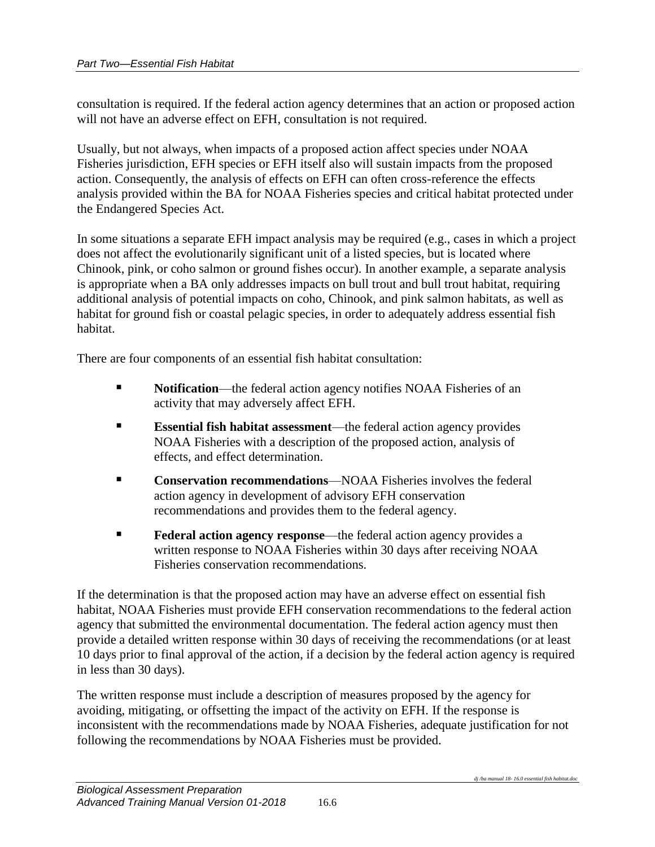consultation is required. If the federal action agency determines that an action or proposed action will not have an adverse effect on EFH, consultation is not required.

Usually, but not always, when impacts of a proposed action affect species under NOAA Fisheries jurisdiction, EFH species or EFH itself also will sustain impacts from the proposed action. Consequently, the analysis of effects on EFH can often cross-reference the effects analysis provided within the BA for NOAA Fisheries species and critical habitat protected under the Endangered Species Act.

In some situations a separate EFH impact analysis may be required (e.g., cases in which a project does not affect the evolutionarily significant unit of a listed species, but is located where Chinook, pink, or coho salmon or ground fishes occur). In another example, a separate analysis is appropriate when a BA only addresses impacts on bull trout and bull trout habitat, requiring additional analysis of potential impacts on coho, Chinook, and pink salmon habitats, as well as habitat for ground fish or coastal pelagic species, in order to adequately address essential fish habitat.

There are four components of an essential fish habitat consultation:

- **Notification—the federal action agency notifies NOAA Fisheries of an** activity that may adversely affect EFH.
- **Essential fish habitat assessment**—the federal action agency provides NOAA Fisheries with a description of the proposed action, analysis of effects, and effect determination.
- **Conservation recommendations**—NOAA Fisheries involves the federal action agency in development of advisory EFH conservation recommendations and provides them to the federal agency.
- **Federal action agency response—the federal action agency provides a** written response to NOAA Fisheries within 30 days after receiving NOAA Fisheries conservation recommendations.

If the determination is that the proposed action may have an adverse effect on essential fish habitat, NOAA Fisheries must provide EFH conservation recommendations to the federal action agency that submitted the environmental documentation. The federal action agency must then provide a detailed written response within 30 days of receiving the recommendations (or at least 10 days prior to final approval of the action, if a decision by the federal action agency is required in less than 30 days).

The written response must include a description of measures proposed by the agency for avoiding, mitigating, or offsetting the impact of the activity on EFH. If the response is inconsistent with the recommendations made by NOAA Fisheries, adequate justification for not following the recommendations by NOAA Fisheries must be provided.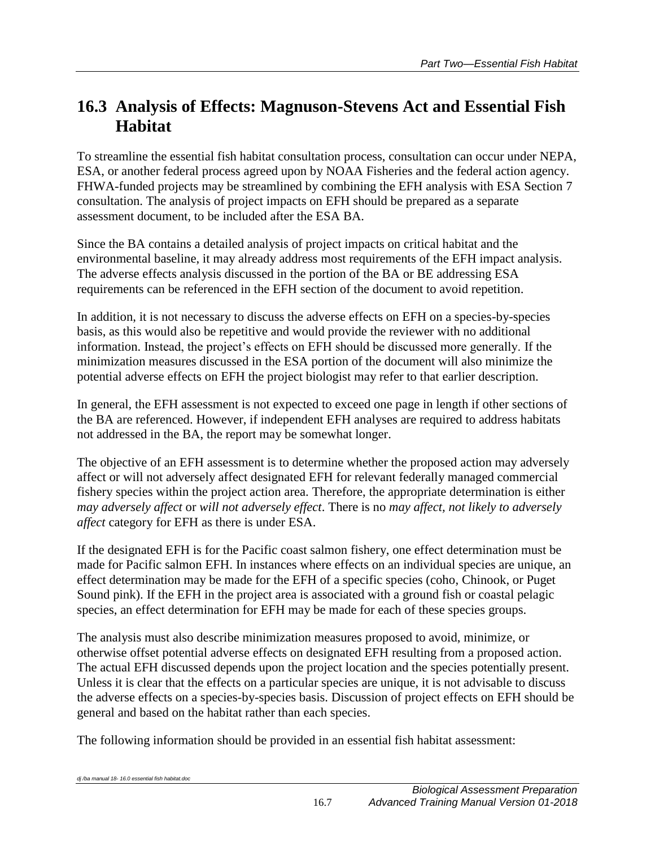# <span id="page-10-0"></span>**16.3 Analysis of Effects: Magnuson-Stevens Act and Essential Fish Habitat**

To streamline the essential fish habitat consultation process, consultation can occur under NEPA, ESA, or another federal process agreed upon by NOAA Fisheries and the federal action agency. FHWA-funded projects may be streamlined by combining the EFH analysis with ESA Section 7 consultation. The analysis of project impacts on EFH should be prepared as a separate assessment document, to be included after the ESA BA.

Since the BA contains a detailed analysis of project impacts on critical habitat and the environmental baseline, it may already address most requirements of the EFH impact analysis. The adverse effects analysis discussed in the portion of the BA or BE addressing ESA requirements can be referenced in the EFH section of the document to avoid repetition.

In addition, it is not necessary to discuss the adverse effects on EFH on a species-by-species basis, as this would also be repetitive and would provide the reviewer with no additional information. Instead, the project's effects on EFH should be discussed more generally. If the minimization measures discussed in the ESA portion of the document will also minimize the potential adverse effects on EFH the project biologist may refer to that earlier description.

In general, the EFH assessment is not expected to exceed one page in length if other sections of the BA are referenced. However, if independent EFH analyses are required to address habitats not addressed in the BA, the report may be somewhat longer.

The objective of an EFH assessment is to determine whether the proposed action may adversely affect or will not adversely affect designated EFH for relevant federally managed commercial fishery species within the project action area. Therefore, the appropriate determination is either *may adversely affect* or *will not adversely effect*. There is no *may affect, not likely to adversely affect* category for EFH as there is under ESA.

If the designated EFH is for the Pacific coast salmon fishery, one effect determination must be made for Pacific salmon EFH. In instances where effects on an individual species are unique, an effect determination may be made for the EFH of a specific species (coho, Chinook, or Puget Sound pink). If the EFH in the project area is associated with a ground fish or coastal pelagic species, an effect determination for EFH may be made for each of these species groups.

The analysis must also describe minimization measures proposed to avoid, minimize, or otherwise offset potential adverse effects on designated EFH resulting from a proposed action. The actual EFH discussed depends upon the project location and the species potentially present. Unless it is clear that the effects on a particular species are unique, it is not advisable to discuss the adverse effects on a species-by-species basis. Discussion of project effects on EFH should be general and based on the habitat rather than each species.

The following information should be provided in an essential fish habitat assessment: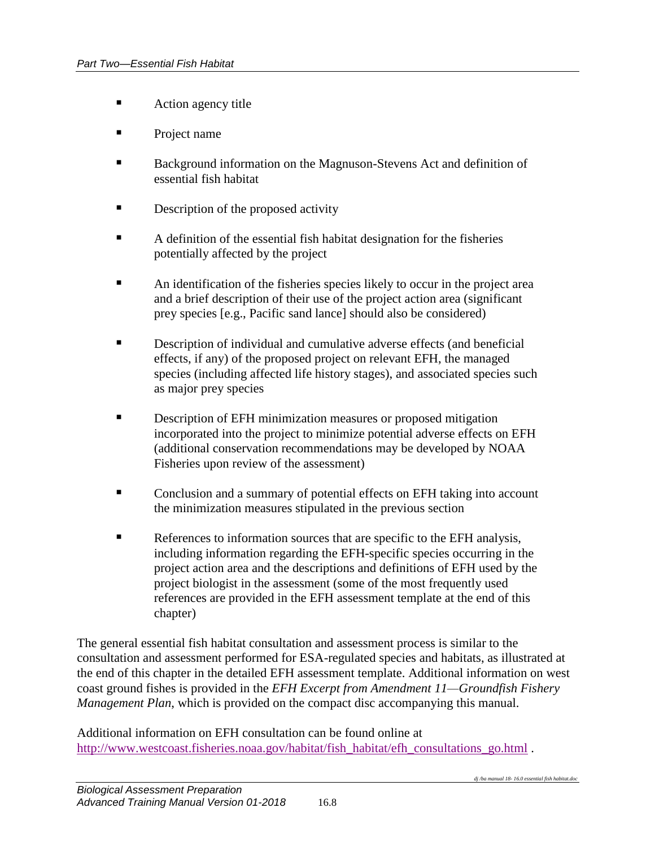- **Action agency title**
- **Project name**
- **Background information on the Magnuson-Stevens Act and definition of** essential fish habitat
- **Description of the proposed activity**
- A definition of the essential fish habitat designation for the fisheries potentially affected by the project
- An identification of the fisheries species likely to occur in the project area and a brief description of their use of the project action area (significant prey species [e.g., Pacific sand lance] should also be considered)
- Description of individual and cumulative adverse effects (and beneficial effects, if any) of the proposed project on relevant EFH, the managed species (including affected life history stages), and associated species such as major prey species
- **Description of EFH minimization measures or proposed mitigation** incorporated into the project to minimize potential adverse effects on EFH (additional conservation recommendations may be developed by NOAA Fisheries upon review of the assessment)
- Conclusion and a summary of potential effects on EFH taking into account the minimization measures stipulated in the previous section
- References to information sources that are specific to the EFH analysis, including information regarding the EFH-specific species occurring in the project action area and the descriptions and definitions of EFH used by the project biologist in the assessment (some of the most frequently used references are provided in the EFH assessment template at the end of this chapter)

The general essential fish habitat consultation and assessment process is similar to the consultation and assessment performed for ESA-regulated species and habitats, as illustrated at the end of this chapter in the detailed EFH assessment template. Additional information on west coast ground fishes is provided in the *EFH Excerpt from Amendment 11—Groundfish Fishery Management Plan*, which is provided on the compact disc accompanying this manual.

Additional information on EFH consultation can be found online at [http://www.westcoast.fisheries.noaa.gov/habitat/fish\\_habitat/efh\\_consultations\\_go.html](http://www.westcoast.fisheries.noaa.gov/habitat/fish_habitat/efh_consultations_go.html) .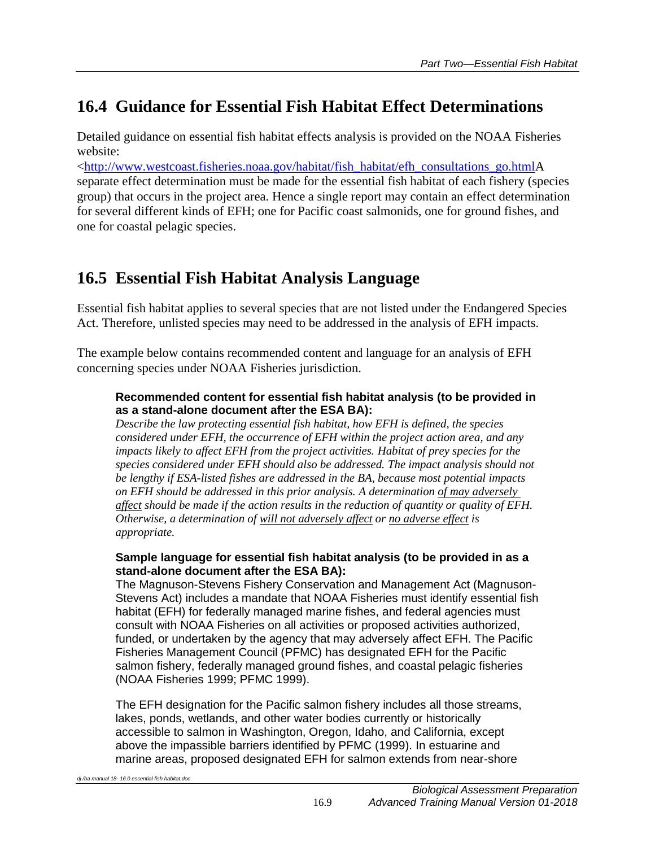# <span id="page-12-0"></span>**16.4 Guidance for Essential Fish Habitat Effect Determinations**

Detailed guidance on essential fish habitat effects analysis is provided on the NOAA Fisheries website:

[<http://www.westcoast.fisheries.noaa.gov/habitat/fish\\_habitat/efh\\_consultations\\_go.htmlA](http://www.westcoast.fisheries.noaa.gov/habitat/fish_habitat/efh_consultations_go.html) separate effect determination must be made for the essential fish habitat of each fishery (species group) that occurs in the project area. Hence a single report may contain an effect determination for several different kinds of EFH; one for Pacific coast salmonids, one for ground fishes, and one for coastal pelagic species.

# <span id="page-12-1"></span>**16.5 Essential Fish Habitat Analysis Language**

Essential fish habitat applies to several species that are not listed under the Endangered Species Act. Therefore, unlisted species may need to be addressed in the analysis of EFH impacts.

The example below contains recommended content and language for an analysis of EFH concerning species under NOAA Fisheries jurisdiction.

#### **Recommended content for essential fish habitat analysis (to be provided in as a stand-alone document after the ESA BA):**

*Describe the law protecting essential fish habitat, how EFH is defined, the species considered under EFH, the occurrence of EFH within the project action area, and any impacts likely to affect EFH from the project activities. Habitat of prey species for the species considered under EFH should also be addressed. The impact analysis should not be lengthy if ESA-listed fishes are addressed in the BA, because most potential impacts on EFH should be addressed in this prior analysis. A determination of may adversely affect should be made if the action results in the reduction of quantity or quality of EFH. Otherwise, a determination of will not adversely affect or no adverse effect is appropriate.*

#### **Sample language for essential fish habitat analysis (to be provided in as a stand-alone document after the ESA BA):**

The Magnuson-Stevens Fishery Conservation and Management Act (Magnuson-Stevens Act) includes a mandate that NOAA Fisheries must identify essential fish habitat (EFH) for federally managed marine fishes, and federal agencies must consult with NOAA Fisheries on all activities or proposed activities authorized, funded, or undertaken by the agency that may adversely affect EFH. The Pacific Fisheries Management Council (PFMC) has designated EFH for the Pacific salmon fishery, federally managed ground fishes, and coastal pelagic fisheries (NOAA Fisheries 1999; PFMC 1999).

The EFH designation for the Pacific salmon fishery includes all those streams, lakes, ponds, wetlands, and other water bodies currently or historically accessible to salmon in Washington, Oregon, Idaho, and California, except above the impassible barriers identified by PFMC (1999). In estuarine and marine areas, proposed designated EFH for salmon extends from near-shore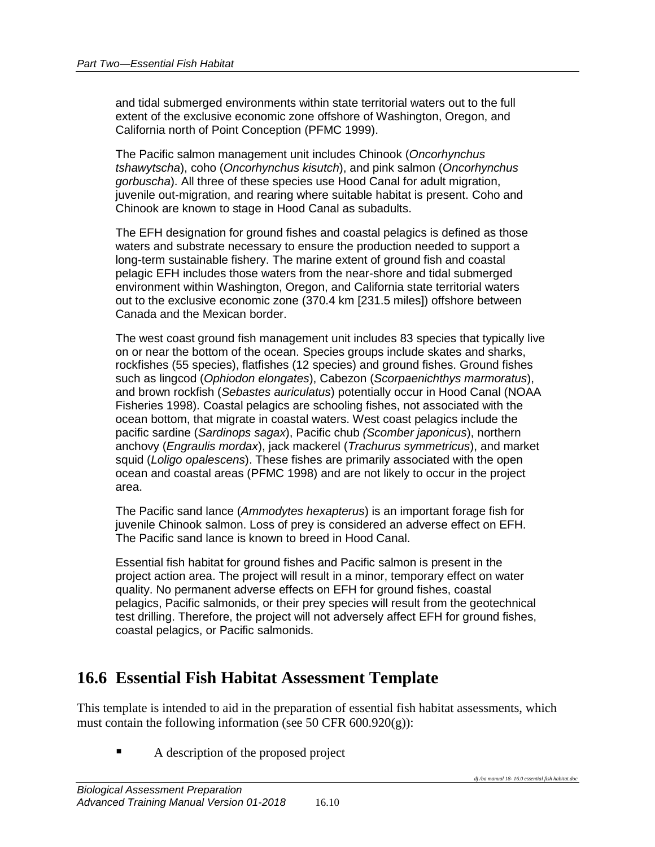and tidal submerged environments within state territorial waters out to the full extent of the exclusive economic zone offshore of Washington, Oregon, and California north of Point Conception (PFMC 1999).

The Pacific salmon management unit includes Chinook (*Oncorhynchus tshawytscha*), coho (*Oncorhynchus kisutch*), and pink salmon (*Oncorhynchus gorbuscha*). All three of these species use Hood Canal for adult migration, juvenile out-migration, and rearing where suitable habitat is present. Coho and Chinook are known to stage in Hood Canal as subadults.

The EFH designation for ground fishes and coastal pelagics is defined as those waters and substrate necessary to ensure the production needed to support a long-term sustainable fishery. The marine extent of ground fish and coastal pelagic EFH includes those waters from the near-shore and tidal submerged environment within Washington, Oregon, and California state territorial waters out to the exclusive economic zone (370.4 km [231.5 miles]) offshore between Canada and the Mexican border.

The west coast ground fish management unit includes 83 species that typically live on or near the bottom of the ocean. Species groups include skates and sharks, rockfishes (55 species), flatfishes (12 species) and ground fishes. Ground fishes such as lingcod (*Ophiodon elongates*), Cabezon (*Scorpaenichthys marmoratus*), and brown rockfish (*Sebastes auriculatus*) potentially occur in Hood Canal (NOAA Fisheries 1998). Coastal pelagics are schooling fishes, not associated with the ocean bottom, that migrate in coastal waters. West coast pelagics include the pacific sardine (*Sardinops sagax*), Pacific chub *(Scomber japonicus*), northern anchovy (*Engraulis mordax*), jack mackerel (*Trachurus symmetricus*), and market squid (*Loligo opalescens*). These fishes are primarily associated with the open ocean and coastal areas (PFMC 1998) and are not likely to occur in the project area.

The Pacific sand lance (*Ammodytes hexapterus*) is an important forage fish for juvenile Chinook salmon. Loss of prey is considered an adverse effect on EFH. The Pacific sand lance is known to breed in Hood Canal.

Essential fish habitat for ground fishes and Pacific salmon is present in the project action area. The project will result in a minor, temporary effect on water quality. No permanent adverse effects on EFH for ground fishes, coastal pelagics, Pacific salmonids, or their prey species will result from the geotechnical test drilling. Therefore, the project will not adversely affect EFH for ground fishes, coastal pelagics, or Pacific salmonids.

## <span id="page-13-0"></span>**16.6 Essential Fish Habitat Assessment Template**

This template is intended to aid in the preparation of essential fish habitat assessments, which must contain the following information (see 50 CFR 600.920(g)):

A description of the proposed project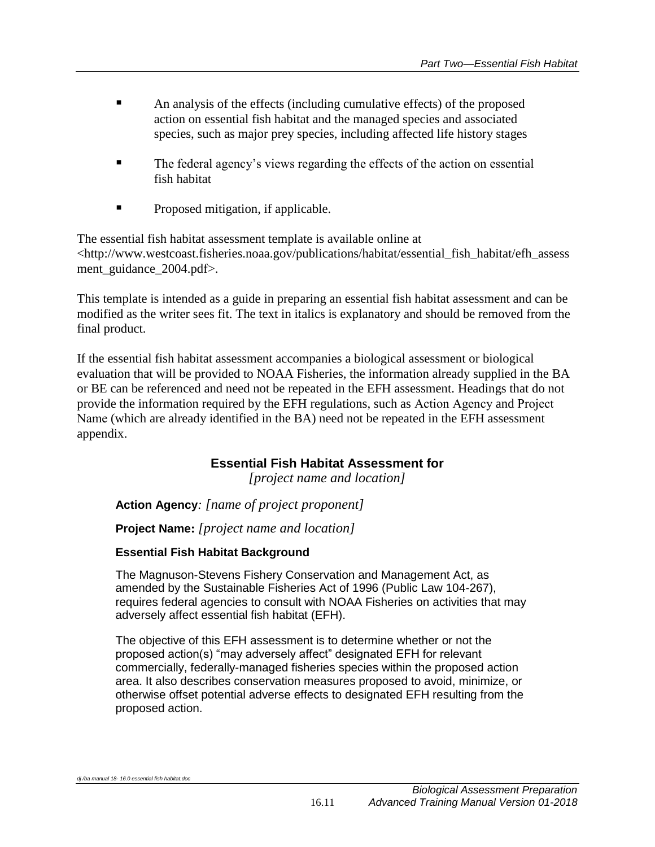- An analysis of the effects (including cumulative effects) of the proposed action on essential fish habitat and the managed species and associated species, such as major prey species, including affected life history stages
- The federal agency's views regarding the effects of the action on essential fish habitat
- **Proposed mitigation, if applicable.**

The essential fish habitat assessment template is available online at <http://www.westcoast.fisheries.noaa.gov/publications/habitat/essential\_fish\_habitat/efh\_assess ment guidance 2004.pdf>.

This template is intended as a guide in preparing an essential fish habitat assessment and can be modified as the writer sees fit. The text in italics is explanatory and should be removed from the final product.

If the essential fish habitat assessment accompanies a biological assessment or biological evaluation that will be provided to NOAA Fisheries, the information already supplied in the BA or BE can be referenced and need not be repeated in the EFH assessment. Headings that do not provide the information required by the EFH regulations, such as Action Agency and Project Name (which are already identified in the BA) need not be repeated in the EFH assessment appendix.

## **Essential Fish Habitat Assessment for**

*[project name and location]*

**Action Agency***: [name of project proponent]*

**Project Name:** *[project name and location]*

### **Essential Fish Habitat Background**

The Magnuson-Stevens Fishery Conservation and Management Act, as amended by the Sustainable Fisheries Act of 1996 (Public Law 104-267), requires federal agencies to consult with NOAA Fisheries on activities that may adversely affect essential fish habitat (EFH).

The objective of this EFH assessment is to determine whether or not the proposed action(s) "may adversely affect" designated EFH for relevant commercially, federally-managed fisheries species within the proposed action area. It also describes conservation measures proposed to avoid, minimize, or otherwise offset potential adverse effects to designated EFH resulting from the proposed action.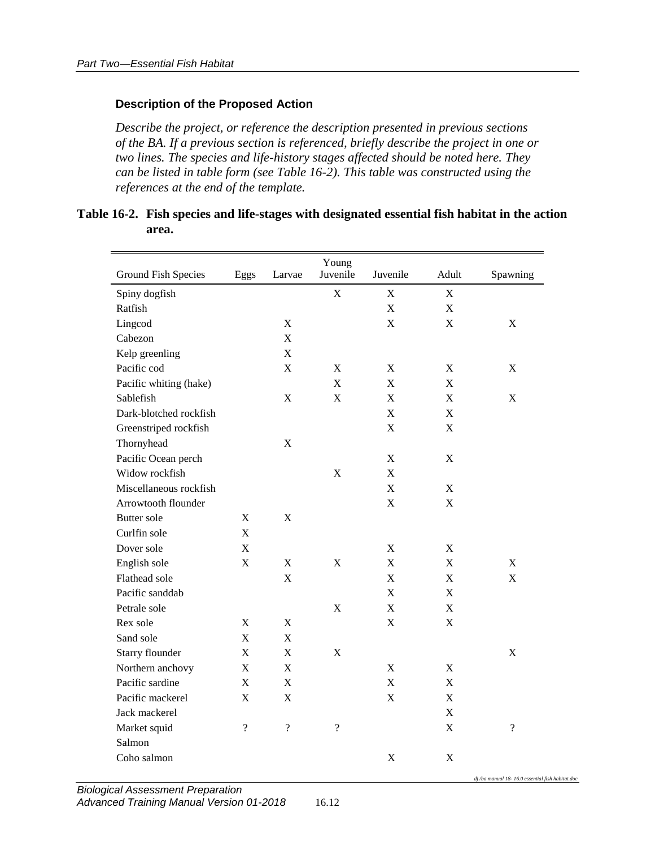#### **Description of the Proposed Action**

*Describe the project, or reference the description presented in previous sections of the BA. If a previous section is referenced, briefly describe the project in one or two lines. The species and life-history stages affected should be noted here. They can be listed in table form (see Table 16-2). This table was constructed using the references at the end of the template.*

#### <span id="page-15-0"></span>**Table 16-2. Fish species and life-stages with designated essential fish habitat in the action area.**

| <b>Ground Fish Species</b> | Eggs                     | Larvae                    | Young<br>Juvenile         | Juvenile                  | Adult       | Spawning                 |
|----------------------------|--------------------------|---------------------------|---------------------------|---------------------------|-------------|--------------------------|
| Spiny dogfish              |                          |                           | $\mathbf X$               | $\mathbf X$               | $\mathbf X$ |                          |
| Ratfish                    |                          |                           |                           | X                         | $\mathbf X$ |                          |
| Lingcod                    |                          | X                         |                           | $\mathbf X$               | $\mathbf X$ | X                        |
| Cabezon                    |                          | $\mathbf X$               |                           |                           |             |                          |
| Kelp greenling             |                          | X                         |                           |                           |             |                          |
| Pacific cod                |                          | $\mathbf X$               | $\mathbf X$               | $\boldsymbol{\mathrm{X}}$ | $\mathbf X$ | X                        |
| Pacific whiting (hake)     |                          |                           | $\mathbf X$               | $\mathbf X$               | $\mathbf X$ |                          |
| Sablefish                  |                          | $\mathbf X$               | $\mathbf X$               | $\mathbf X$               | $\mathbf X$ | $\mathbf X$              |
| Dark-blotched rockfish     |                          |                           |                           | X                         | X           |                          |
| Greenstriped rockfish      |                          |                           |                           | $\mathbf X$               | $\mathbf X$ |                          |
| Thornyhead                 |                          | $\mathbf X$               |                           |                           |             |                          |
| Pacific Ocean perch        |                          |                           |                           | $\mathbf X$               | $\mathbf X$ |                          |
| Widow rockfish             |                          |                           | $\boldsymbol{\mathrm{X}}$ | X                         |             |                          |
| Miscellaneous rockfish     |                          |                           |                           | $\mathbf X$               | $\mathbf X$ |                          |
| Arrowtooth flounder        |                          |                           |                           | $\mathbf X$               | $\mathbf X$ |                          |
| <b>Butter</b> sole         | X                        | X                         |                           |                           |             |                          |
| Curlfin sole               | $\mathbf X$              |                           |                           |                           |             |                          |
| Dover sole                 | $\mathbf X$              |                           |                           | $\mathbf X$               | $\mathbf X$ |                          |
| English sole               | $\mathbf X$              | $\mathbf X$               | X                         | $\mathbf X$               | $\mathbf X$ | $\mathbf X$              |
| Flathead sole              |                          | X                         |                           | $\mathbf X$               | $\mathbf X$ | $\mathbf X$              |
| Pacific sanddab            |                          |                           |                           | $\mathbf X$               | $\mathbf X$ |                          |
| Petrale sole               |                          |                           | $\boldsymbol{\mathrm{X}}$ | $\mathbf X$               | $\mathbf X$ |                          |
| Rex sole                   | $\mathbf X$              | $\boldsymbol{\mathrm{X}}$ |                           | $\mathbf X$               | $\mathbf X$ |                          |
| Sand sole                  | $\mathbf X$              | $\mathbf X$               |                           |                           |             |                          |
| Starry flounder            | $\mathbf X$              | $\mathbf X$               | $\mathbf X$               |                           |             | $\mathbf X$              |
| Northern anchovy           | $\mathbf X$              | $\mathbf X$               |                           | $\mathbf X$               | $\mathbf X$ |                          |
| Pacific sardine            | $\mathbf X$              | $\mathbf X$               |                           | X                         | X           |                          |
| Pacific mackerel           | $\mathbf X$              | X                         |                           | X                         | X           |                          |
| Jack mackerel              |                          |                           |                           |                           | $\mathbf X$ |                          |
| Market squid               | $\overline{\mathcal{L}}$ | $\overline{\mathcal{L}}$  | $\overline{\mathcal{L}}$  |                           | $\mathbf X$ | $\overline{\mathcal{L}}$ |
| Salmon                     |                          |                           |                           |                           |             |                          |
| Coho salmon                |                          |                           |                           | $\mathbf X$               | $\mathbf X$ |                          |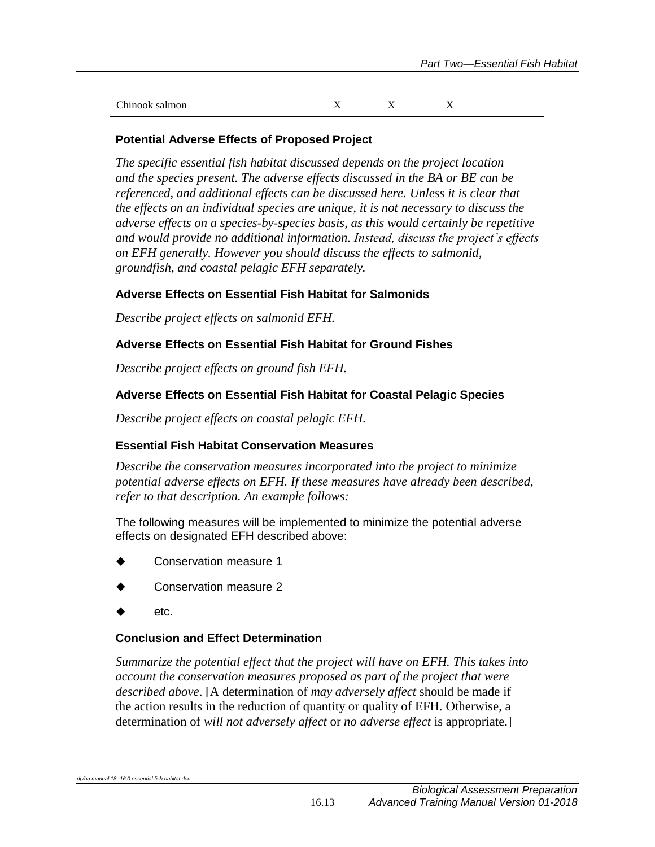| Chinook salmon |  |  |
|----------------|--|--|

#### **Potential Adverse Effects of Proposed Project**

*The specific essential fish habitat discussed depends on the project location and the species present. The adverse effects discussed in the BA or BE can be referenced, and additional effects can be discussed here. Unless it is clear that the effects on an individual species are unique, it is not necessary to discuss the adverse effects on a species-by-species basis, as this would certainly be repetitive and would provide no additional information. Instead, discuss the project's effects on EFH generally. However you should discuss the effects to salmonid, groundfish, and coastal pelagic EFH separately.*

#### **Adverse Effects on Essential Fish Habitat for Salmonids**

*Describe project effects on salmonid EFH.*

#### **Adverse Effects on Essential Fish Habitat for Ground Fishes**

*Describe project effects on ground fish EFH.*

#### **Adverse Effects on Essential Fish Habitat for Coastal Pelagic Species**

*Describe project effects on coastal pelagic EFH.*

#### **Essential Fish Habitat Conservation Measures**

*Describe the conservation measures incorporated into the project to minimize potential adverse effects on EFH. If these measures have already been described, refer to that description. An example follows:*

The following measures will be implemented to minimize the potential adverse effects on designated EFH described above:

- Conservation measure 1
- Conservation measure 2
- etc.

#### **Conclusion and Effect Determination**

*Summarize the potential effect that the project will have on EFH. This takes into account the conservation measures proposed as part of the project that were described above*. [A determination of *may adversely affect* should be made if the action results in the reduction of quantity or quality of EFH. Otherwise, a determination of *will not adversely affect* or *no adverse effect* is appropriate.]